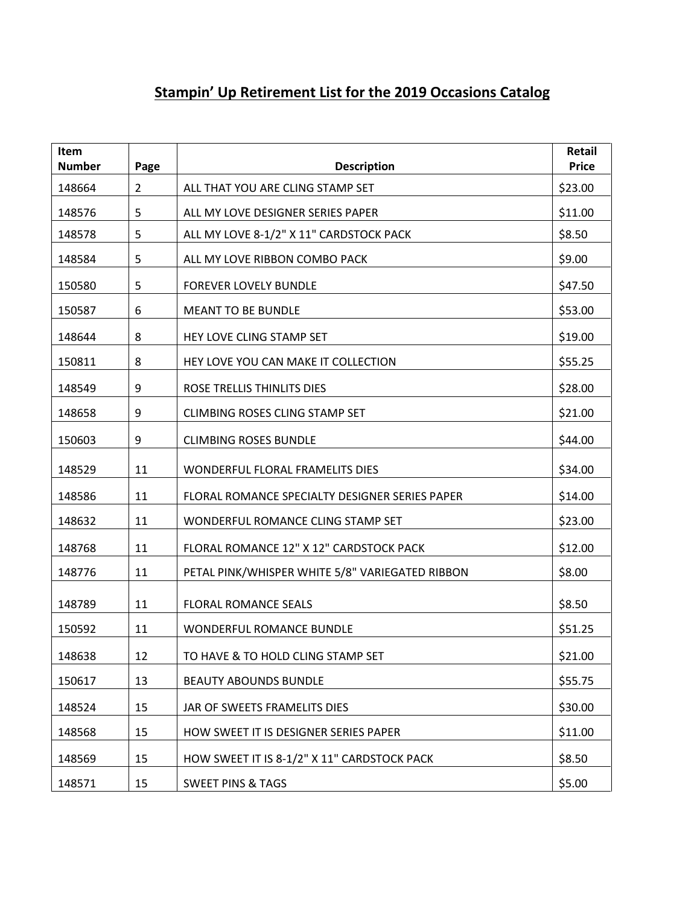## **Stampin' Up Retirement List for the 2019 Occasions Catalog**

| Item<br><b>Number</b> | Page           | <b>Description</b>                              | Retail<br><b>Price</b> |
|-----------------------|----------------|-------------------------------------------------|------------------------|
| 148664                | $\overline{2}$ | ALL THAT YOU ARE CLING STAMP SET                | \$23.00                |
| 148576                | 5              | ALL MY LOVE DESIGNER SERIES PAPER               | \$11.00                |
| 148578                | 5              | ALL MY LOVE 8-1/2" X 11" CARDSTOCK PACK         | \$8.50                 |
| 148584                | 5              | ALL MY LOVE RIBBON COMBO PACK                   | \$9.00                 |
| 150580                | 5              | <b>FOREVER LOVELY BUNDLE</b>                    | \$47.50                |
| 150587                | 6              | <b>MEANT TO BE BUNDLE</b>                       | \$53.00                |
| 148644                | 8              | HEY LOVE CLING STAMP SET                        | \$19.00                |
| 150811                | 8              | HEY LOVE YOU CAN MAKE IT COLLECTION             | \$55.25                |
| 148549                | 9              | ROSE TRELLIS THINLITS DIES                      | \$28.00                |
| 148658                | 9              | <b>CLIMBING ROSES CLING STAMP SET</b>           | \$21.00                |
| 150603                | 9              | <b>CLIMBING ROSES BUNDLE</b>                    | \$44.00                |
| 148529                | 11             | WONDERFUL FLORAL FRAMELITS DIES                 | \$34.00                |
| 148586                | 11             | FLORAL ROMANCE SPECIALTY DESIGNER SERIES PAPER  | \$14.00                |
| 148632                | 11             | WONDERFUL ROMANCE CLING STAMP SET               | \$23.00                |
| 148768                | 11             | FLORAL ROMANCE 12" X 12" CARDSTOCK PACK         | \$12.00                |
| 148776                | 11             | PETAL PINK/WHISPER WHITE 5/8" VARIEGATED RIBBON | \$8.00                 |
| 148789                | 11             | <b>FLORAL ROMANCE SEALS</b>                     | \$8.50                 |
| 150592                | 11             | <b>WONDERFUL ROMANCE BUNDLE</b>                 | \$51.25                |
| 148638                | 12             | TO HAVE & TO HOLD CLING STAMP SET               | \$21.00                |
| 150617                | 13             | <b>BEAUTY ABOUNDS BUNDLE</b>                    | \$55.75                |
| 148524                | 15             | JAR OF SWEETS FRAMELITS DIES                    | \$30.00                |
| 148568                | 15             | HOW SWEET IT IS DESIGNER SERIES PAPER           | \$11.00                |
| 148569                | 15             | HOW SWEET IT IS 8-1/2" X 11" CARDSTOCK PACK     | \$8.50                 |
| 148571                | 15             | <b>SWEET PINS &amp; TAGS</b>                    | \$5.00                 |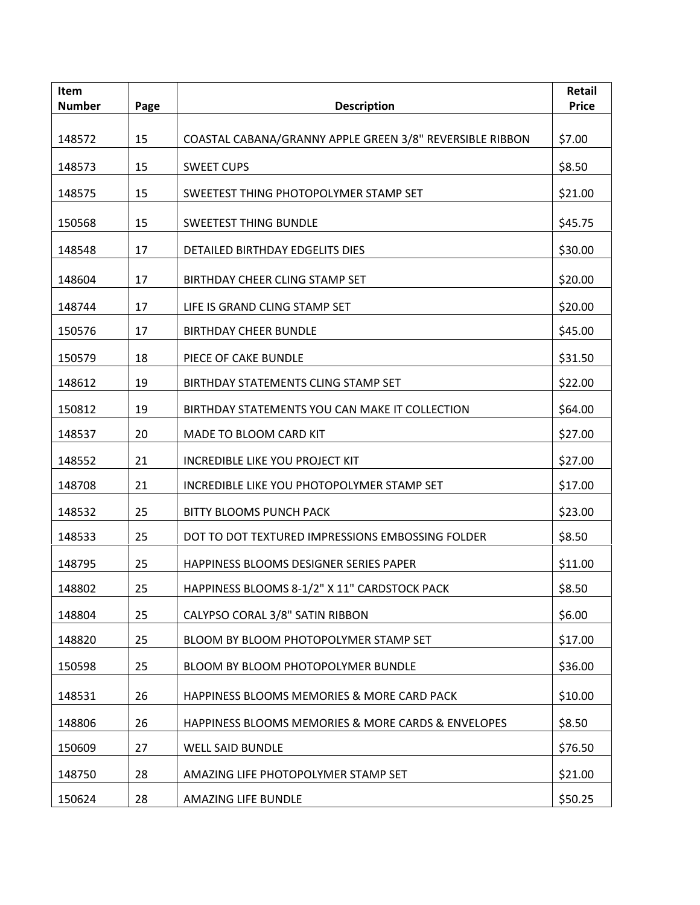| <b>Item</b><br><b>Number</b> | Page | <b>Description</b>                                       | Retail<br><b>Price</b> |
|------------------------------|------|----------------------------------------------------------|------------------------|
|                              |      |                                                          |                        |
| 148572                       | 15   | COASTAL CABANA/GRANNY APPLE GREEN 3/8" REVERSIBLE RIBBON | \$7.00                 |
| 148573                       | 15   | <b>SWEET CUPS</b>                                        | \$8.50                 |
| 148575                       | 15   | SWEETEST THING PHOTOPOLYMER STAMP SET                    | \$21.00                |
| 150568                       | 15   | <b>SWEETEST THING BUNDLE</b>                             | \$45.75                |
| 148548                       | 17   | <b>DETAILED BIRTHDAY EDGELITS DIES</b>                   | \$30.00                |
| 148604                       | 17   | BIRTHDAY CHEER CLING STAMP SET                           | \$20.00                |
| 148744                       | 17   | LIFE IS GRAND CLING STAMP SET                            | \$20.00                |
| 150576                       | 17   | <b>BIRTHDAY CHEER BUNDLE</b>                             | \$45.00                |
| 150579                       | 18   | PIECE OF CAKE BUNDLE                                     | \$31.50                |
| 148612                       | 19   | BIRTHDAY STATEMENTS CLING STAMP SET                      | \$22.00                |
| 150812                       | 19   | BIRTHDAY STATEMENTS YOU CAN MAKE IT COLLECTION           | \$64.00                |
| 148537                       | 20   | MADE TO BLOOM CARD KIT                                   | \$27.00                |
| 148552                       | 21   | <b>INCREDIBLE LIKE YOU PROJECT KIT</b>                   | \$27.00                |
| 148708                       | 21   | INCREDIBLE LIKE YOU PHOTOPOLYMER STAMP SET               | \$17.00                |
| 148532                       | 25   | <b>BITTY BLOOMS PUNCH PACK</b>                           | \$23.00                |
| 148533                       | 25   | DOT TO DOT TEXTURED IMPRESSIONS EMBOSSING FOLDER         | \$8.50                 |
| 148795                       | 25   | HAPPINESS BLOOMS DESIGNER SERIES PAPER                   | \$11.00                |
| 148802                       | 25   | HAPPINESS BLOOMS 8-1/2" X 11" CARDSTOCK PACK             | \$8.50                 |
| 148804                       | 25   | CALYPSO CORAL 3/8" SATIN RIBBON                          | \$6.00                 |
| 148820                       | 25   | BLOOM BY BLOOM PHOTOPOLYMER STAMP SET                    | \$17.00                |
| 150598                       | 25   | BLOOM BY BLOOM PHOTOPOLYMER BUNDLE                       | \$36.00                |
| 148531                       | 26   | HAPPINESS BLOOMS MEMORIES & MORE CARD PACK               | \$10.00                |
| 148806                       | 26   | HAPPINESS BLOOMS MEMORIES & MORE CARDS & ENVELOPES       | \$8.50                 |
| 150609                       | 27   | <b>WELL SAID BUNDLE</b>                                  | \$76.50                |
| 148750                       | 28   | AMAZING LIFE PHOTOPOLYMER STAMP SET                      | \$21.00                |
| 150624                       | 28   | <b>AMAZING LIFE BUNDLE</b>                               | \$50.25                |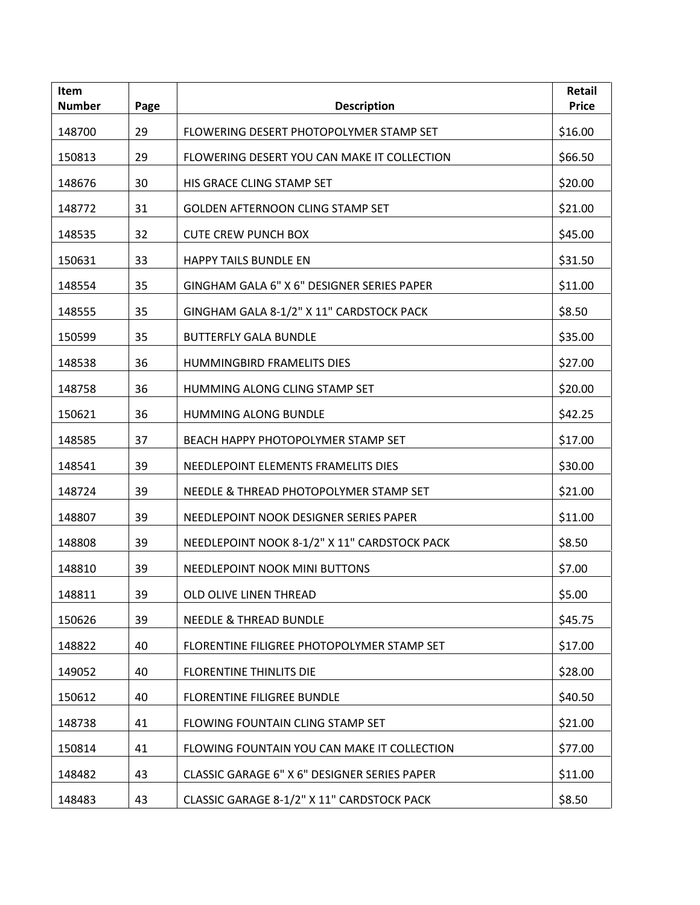| Item<br><b>Number</b> | Page | <b>Description</b>                           | Retail<br><b>Price</b> |
|-----------------------|------|----------------------------------------------|------------------------|
| 148700                | 29   | FLOWERING DESERT PHOTOPOLYMER STAMP SET      | \$16.00                |
| 150813                | 29   | FLOWERING DESERT YOU CAN MAKE IT COLLECTION  | \$66.50                |
| 148676                | 30   | HIS GRACE CLING STAMP SET                    | \$20.00                |
| 148772                | 31   | <b>GOLDEN AFTERNOON CLING STAMP SET</b>      | \$21.00                |
| 148535                | 32   | <b>CUTE CREW PUNCH BOX</b>                   | \$45.00                |
| 150631                | 33   | <b>HAPPY TAILS BUNDLE EN</b>                 | \$31.50                |
| 148554                | 35   | GINGHAM GALA 6" X 6" DESIGNER SERIES PAPER   | \$11.00                |
| 148555                | 35   | GINGHAM GALA 8-1/2" X 11" CARDSTOCK PACK     | \$8.50                 |
| 150599                | 35   | <b>BUTTERFLY GALA BUNDLE</b>                 | \$35.00                |
| 148538                | 36   | HUMMINGBIRD FRAMELITS DIES                   | \$27.00                |
| 148758                | 36   | HUMMING ALONG CLING STAMP SET                | \$20.00                |
| 150621                | 36   | HUMMING ALONG BUNDLE                         | \$42.25                |
| 148585                | 37   | BEACH HAPPY PHOTOPOLYMER STAMP SET           | \$17.00                |
| 148541                | 39   | NEEDLEPOINT ELEMENTS FRAMELITS DIES          | \$30.00                |
| 148724                | 39   | NEEDLE & THREAD PHOTOPOLYMER STAMP SET       | \$21.00                |
| 148807                | 39   | NEEDLEPOINT NOOK DESIGNER SERIES PAPER       | \$11.00                |
| 148808                | 39   | NEEDLEPOINT NOOK 8-1/2" X 11" CARDSTOCK PACK | \$8.50                 |
| 148810                | 39   | NEEDLEPOINT NOOK MINI BUTTONS                | \$7.00                 |
| 148811                | 39   | OLD OLIVE LINEN THREAD                       | \$5.00                 |
| 150626                | 39   | <b>NEEDLE &amp; THREAD BUNDLE</b>            | \$45.75                |
| 148822                | 40   | FLORENTINE FILIGREE PHOTOPOLYMER STAMP SET   | \$17.00                |
| 149052                | 40   | <b>FLORENTINE THINLITS DIE</b>               | \$28.00                |
| 150612                | 40   | <b>FLORENTINE FILIGREE BUNDLE</b>            | \$40.50                |
| 148738                | 41   | FLOWING FOUNTAIN CLING STAMP SET             | \$21.00                |
| 150814                | 41   | FLOWING FOUNTAIN YOU CAN MAKE IT COLLECTION  | \$77.00                |
| 148482                | 43   | CLASSIC GARAGE 6" X 6" DESIGNER SERIES PAPER | \$11.00                |
| 148483                | 43   | CLASSIC GARAGE 8-1/2" X 11" CARDSTOCK PACK   | \$8.50                 |